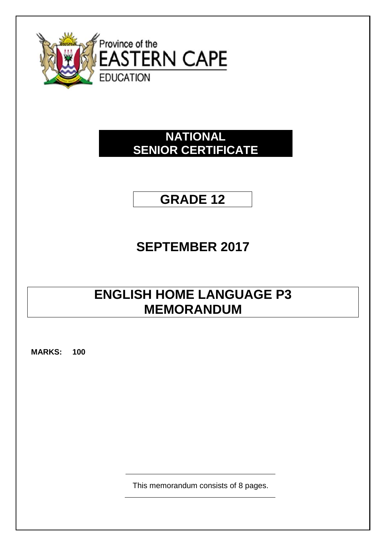

### **NATIONAL SENIOR CERTIFICATE**

## **GRADE 12**

# **SEPTEMBER 2017**

## **ENGLISH HOME LANGUAGE P3 MEMORANDUM**

**MARKS: 100**

This memorandum consists of 8 pages.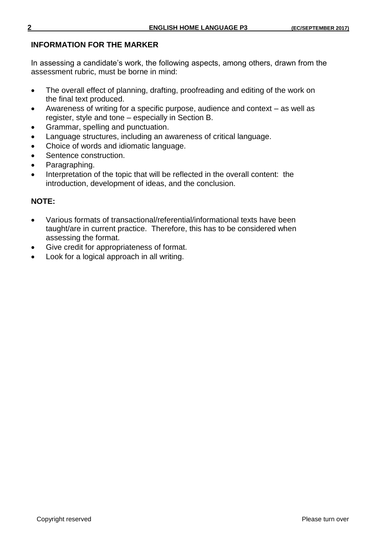#### **INFORMATION FOR THE MARKER**

In assessing a candidate's work, the following aspects, among others, drawn from the assessment rubric, must be borne in mind:

- The overall effect of planning, drafting, proofreading and editing of the work on the final text produced.
- Awareness of writing for a specific purpose, audience and context as well as register, style and tone – especially in Section B.
- Grammar, spelling and punctuation.
- Language structures, including an awareness of critical language.
- Choice of words and idiomatic language.
- Sentence construction.
- Paragraphing.
- Interpretation of the topic that will be reflected in the overall content: the introduction, development of ideas, and the conclusion.

#### **NOTE:**

- Various formats of transactional/referential/informational texts have been taught/are in current practice. Therefore, this has to be considered when assessing the format.
- Give credit for appropriateness of format.
- Look for a logical approach in all writing.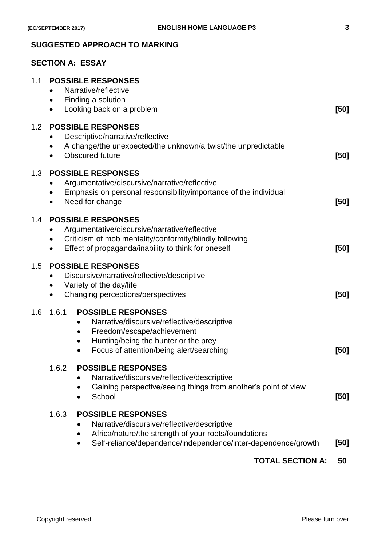#### **SUGGESTED APPROACH TO MARKING**

### **SECTION A: ESSAY**

| 1.1 | <b>POSSIBLE RESPONSES</b><br>Narrative/reflective                                                                                                                                                                                               |      |  |  |  |
|-----|-------------------------------------------------------------------------------------------------------------------------------------------------------------------------------------------------------------------------------------------------|------|--|--|--|
|     | Finding a solution<br>$\bullet$<br>Looking back on a problem<br>$\bullet$                                                                                                                                                                       | [50] |  |  |  |
| 1.2 | <b>POSSIBLE RESPONSES</b><br>Descriptive/narrative/reflective<br>A change/the unexpected/the unknown/a twist/the unpredictable<br>$\bullet$<br>Obscured future                                                                                  | [50] |  |  |  |
| 1.3 | <b>POSSIBLE RESPONSES</b><br>Argumentative/discursive/narrative/reflective<br>Emphasis on personal responsibility/importance of the individual<br>Need for change<br>$\bullet$                                                                  | [50] |  |  |  |
| 1.4 | <b>POSSIBLE RESPONSES</b><br>Argumentative/discursive/narrative/reflective<br>Criticism of mob mentality/conformity/blindly following<br>$\bullet$<br>Effect of propaganda/inability to think for oneself<br>$\bullet$                          | [50] |  |  |  |
| 1.5 | <b>POSSIBLE RESPONSES</b><br>Discursive/narrative/reflective/descriptive<br>$\bullet$<br>Variety of the day/life<br>٠<br>Changing perceptions/perspectives<br>[50]<br>$\bullet$                                                                 |      |  |  |  |
| 1.6 | 1.6.1<br><b>POSSIBLE RESPONSES</b><br>Narrative/discursive/reflective/descriptive<br>$\bullet$<br>Freedom/escape/achievement<br>٠<br>Hunting/being the hunter or the prey<br>$\bullet$<br>Focus of attention/being alert/searching<br>$\bullet$ | [50] |  |  |  |
|     | 1.6.2<br><b>POSSIBLE RESPONSES</b><br>Narrative/discursive/reflective/descriptive<br>Gaining perspective/seeing things from another's point of view<br>School                                                                                   | [50] |  |  |  |
|     | 1.6.3<br><b>POSSIBLE RESPONSES</b><br>Narrative/discursive/reflective/descriptive<br>Africa/nature/the strength of your roots/foundations<br>Self-reliance/dependence/independence/inter-dependence/growth<br>$\bullet$                         | [50] |  |  |  |
|     | <b>TOTAL SECTION A:</b>                                                                                                                                                                                                                         | 50   |  |  |  |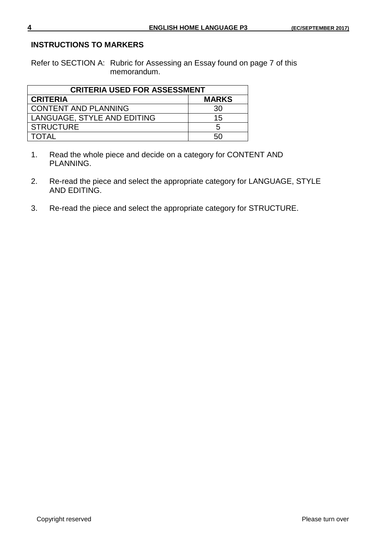#### **INSTRUCTIONS TO MARKERS**

Refer to SECTION A: Rubric for Assessing an Essay found on page 7 of this memorandum.

| <b>CRITERIA USED FOR ASSESSMENT</b> |              |  |  |  |
|-------------------------------------|--------------|--|--|--|
| <b>CRITERIA</b>                     | <b>MARKS</b> |  |  |  |
| <b>CONTENT AND PLANNING</b>         | 30           |  |  |  |
| LANGUAGE, STYLE AND EDITING         | 15           |  |  |  |
| <b>STRUCTURE</b>                    | 5            |  |  |  |
| <b>TOTAL</b>                        | 50           |  |  |  |

- 1. Read the whole piece and decide on a category for CONTENT AND PLANNING.
- 2. Re-read the piece and select the appropriate category for LANGUAGE, STYLE AND EDITING.
- 3. Re-read the piece and select the appropriate category for STRUCTURE.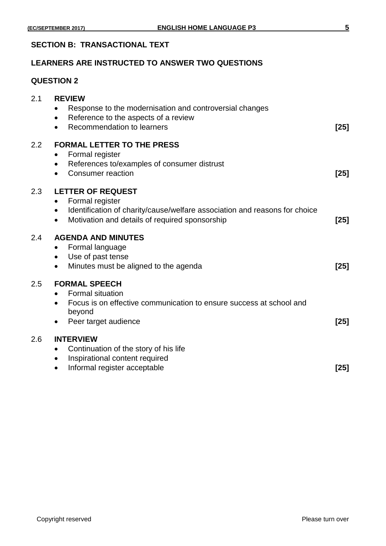#### **SECTION B: TRANSACTIONAL TEXT**

#### **LEARNERS ARE INSTRUCTED TO ANSWER TWO QUESTIONS**

#### **QUESTION 2**

| 2.1     | <b>REVIEW</b><br>Response to the modernisation and controversial changes<br>$\bullet$<br>Reference to the aspects of a review<br>$\bullet$<br>Recommendation to learners<br>$\bullet$         | $[25]$ |
|---------|-----------------------------------------------------------------------------------------------------------------------------------------------------------------------------------------------|--------|
| $2.2\,$ | <b>FORMAL LETTER TO THE PRESS</b><br>Formal register<br>٠<br>References to/examples of consumer distrust<br>٠<br>Consumer reaction<br>$\bullet$                                               | $[25]$ |
| 2.3     | <b>LETTER OF REQUEST</b><br>Formal register<br>$\bullet$<br>Identification of charity/cause/welfare association and reasons for choice<br>٠<br>Motivation and details of required sponsorship | $[25]$ |
| 2.4     | <b>AGENDA AND MINUTES</b><br>Formal language<br>$\bullet$<br>Use of past tense<br>$\bullet$<br>Minutes must be aligned to the agenda<br>$\bullet$                                             | $[25]$ |
| $2.5\,$ | <b>FORMAL SPEECH</b><br><b>Formal situation</b><br>Focus is on effective communication to ensure success at school and<br>$\bullet$<br>beyond<br>Peer target audience                         | $[25]$ |
| 2.6     | <b>INTERVIEW</b><br>Continuation of the story of his life<br>$\bullet$<br>Inspirational content required<br>٠<br>Informal register acceptable<br>$\bullet$                                    | $[25]$ |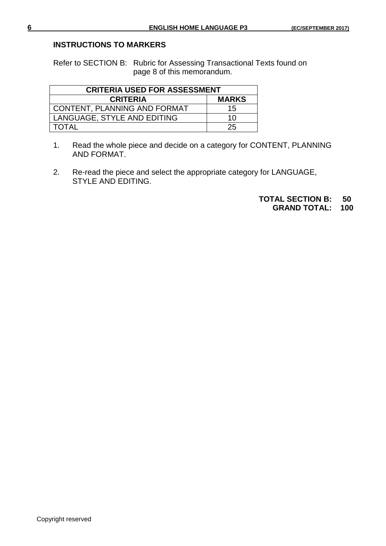#### **INSTRUCTIONS TO MARKERS**

Refer to SECTION B: Rubric for Assessing Transactional Texts found on page 8 of this memorandum.

| <b>CRITERIA USED FOR ASSESSMENT</b> |              |  |  |  |
|-------------------------------------|--------------|--|--|--|
| <b>CRITERIA</b>                     | <b>MARKS</b> |  |  |  |
| CONTENT, PLANNING AND FORMAT        | 15           |  |  |  |
| LANGUAGE, STYLE AND EDITING         | 10           |  |  |  |
| <b>TOTAL</b>                        | 25           |  |  |  |

- 1. Read the whole piece and decide on a category for CONTENT, PLANNING AND FORMAT.
- 2. Re-read the piece and select the appropriate category for LANGUAGE, STYLE AND EDITING.

**TOTAL SECTION B: 50 GRAND TOTAL: 100**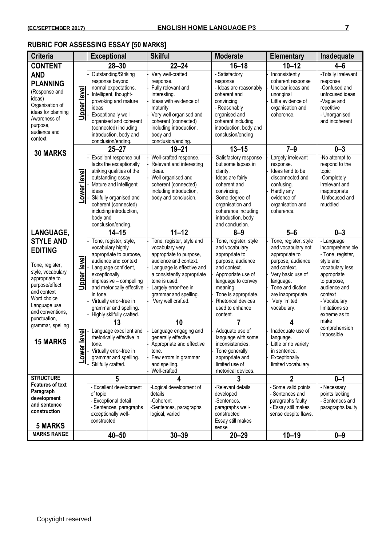### **RUBRIC FOR ASSESSING ESSAY [50 MARKS]**

| <b>Criteria</b>                                                                                                                                                                                  |                            | <b>Exceptional</b>                                                                                                                                                                                                                                                                           | <b>Skilful</b>                                                                                                                                                                                                                                       | <b>Moderate</b>                                                                                                                                                                                                                     | <b>Elementary</b>                                                                                                                                                                                             | Inadequate                                                                                                                                                                                      |
|--------------------------------------------------------------------------------------------------------------------------------------------------------------------------------------------------|----------------------------|----------------------------------------------------------------------------------------------------------------------------------------------------------------------------------------------------------------------------------------------------------------------------------------------|------------------------------------------------------------------------------------------------------------------------------------------------------------------------------------------------------------------------------------------------------|-------------------------------------------------------------------------------------------------------------------------------------------------------------------------------------------------------------------------------------|---------------------------------------------------------------------------------------------------------------------------------------------------------------------------------------------------------------|-------------------------------------------------------------------------------------------------------------------------------------------------------------------------------------------------|
| <b>CONTENT</b>                                                                                                                                                                                   |                            | $28 - 30$                                                                                                                                                                                                                                                                                    | $22 - 24$                                                                                                                                                                                                                                            | $16 - 18$                                                                                                                                                                                                                           | $10 - 12$                                                                                                                                                                                                     | $4 - 6$                                                                                                                                                                                         |
| <b>AND</b><br><b>PLANNING</b><br>(Response and<br>ideas)<br>Organisation of<br>ideas for planning<br>Awareness of<br>purpose,<br>audience and<br>context                                         | <u>Upper level</u>         | Outstanding/Striking<br>response beyond<br>normal expectations.<br>Intelligent, thought-<br>provoking and mature<br>ideas<br>Exceptionally well<br>organised and coherent<br>(connected) including<br>introduction, body and<br>conclusion/ending.                                           | Very well-crafted<br>response.<br>Fully relevant and<br>interesting.<br>Ideas with evidence of<br>maturity<br>Very well organised and<br>coherent (connected)<br>including introduction,<br>body and<br>conclusion/ending.                           | - Satisfactory<br>response<br>- Ideas are reasonably<br>coherent and<br>convincing.<br>- Reasonably<br>organised and<br>coherent including<br>introduction, body and<br>conclusion/ending                                           | Inconsistently<br>coherent response<br>Unclear ideas and<br>unoriginal<br>Little evidence of<br>organisation and<br>coherence.                                                                                | -Totally irrelevant<br>response<br>-Confused and<br>unfocused ideas<br>-Vague and<br>repetitive<br>- Unorganised<br>and incoherent                                                              |
|                                                                                                                                                                                                  |                            | $25 - 27$                                                                                                                                                                                                                                                                                    | $19 - 21$                                                                                                                                                                                                                                            | $13 - 15$                                                                                                                                                                                                                           | $7 - 9$                                                                                                                                                                                                       | $0 - 3$                                                                                                                                                                                         |
| <b>30 MARKS</b>                                                                                                                                                                                  | Lower level                | Excellent response but<br>lacks the exceptionally<br>striking qualities of the<br>outstanding essay<br>Mature and intelligent<br>ideas<br>Skilfully organised and<br>coherent (connected)<br>including introduction,<br>body and<br>conclusion/ending.                                       | Well-crafted response.<br>Relevant and interesting<br>ideas.<br>Well organised and<br>coherent (connected)<br>including introduction,<br>body and conclusion.                                                                                        | Satisfactory response<br>but some lapses in<br>clarity.<br>Ideas are fairly<br>coherent and<br>convincing.<br>Some degree of<br>organisation and<br>coherence including<br>introduction, body<br>and conclusion.                    | Largely irrelevant<br>response.<br>Ideas tend to be<br>disconnected and<br>confusing.<br>Hardly any<br>evidence of<br>organisation and<br>coherence.                                                          | -No attempt to<br>respond to the<br>topic<br>-Completely<br>irrelevant and<br>inappropriate<br>-Unfocused and<br>muddled                                                                        |
| LANGUAGE,                                                                                                                                                                                        |                            | $14 - 15$                                                                                                                                                                                                                                                                                    | $11 - 12$                                                                                                                                                                                                                                            | $8 - 9$                                                                                                                                                                                                                             | $5-6$                                                                                                                                                                                                         | $0 - 3$                                                                                                                                                                                         |
| <b>STYLE AND</b><br><b>EDITING</b><br>Tone, register,<br>style, vocabulary<br>appropriate to<br>purpose/effect<br>and context<br>Word choice<br>Language use<br>and conventions,<br>punctuation, | Upper level                | Tone, register, style,<br>vocabulary highly<br>appropriate to purpose,<br>audience and context<br>Language confident,<br>exceptionally<br>impressive - compelling<br>and rhetorically effective<br>in tone.<br>Virtually error-free in<br>grammar and spelling.<br>Highly skilfully crafted. | Tone, register, style and<br>vocabulary very<br>appropriate to purpose,<br>audience and context.<br>Language is effective and<br>a consistently appropriate<br>tone is used.<br>Largely error-free in<br>grammar and spelling.<br>Very well crafted. | Tone, register, style<br>and vocabulary<br>appropriate to<br>purpose, audience<br>and context.<br>Appropriate use of<br>language to convey<br>meaning.<br>Tone is appropriate.<br>Rhetorical devices<br>used to enhance<br>content. | Tone, register, style<br>and vocabulary not<br>appropriate to<br>purpose, audience<br>and context.<br>Very basic use of<br>language.<br>Tone and diction<br>are inappropriate.<br>Very limited<br>vocabulary. | - Language<br>incomprehensible<br>- Tone, register,<br>style and<br>vocabulary less<br>appropriate<br>to purpose,<br>audience and<br>context<br>- Vocabulary<br>limitations so<br>extreme as to |
| grammar, spelling                                                                                                                                                                                |                            | 13                                                                                                                                                                                                                                                                                           | 10                                                                                                                                                                                                                                                   | $\overline{7}$                                                                                                                                                                                                                      | 4                                                                                                                                                                                                             | make<br>comprehension                                                                                                                                                                           |
| <b>15 MARKS</b>                                                                                                                                                                                  | evel<br>Lower <sup>1</sup> | Language excellent and<br>rhetorically effective in<br>tone.<br>Virtually error-free in<br>grammar and spelling.<br>Skilfully crafted.                                                                                                                                                       | Language engaging and<br>generally effective<br>Appropriate and effective<br>tone.<br>Few errors in grammar<br>and spelling.<br>Well-crafted                                                                                                         | Adequate use of<br>language with some<br>inconsistencies.<br>Tone generally<br>appropriate and<br>limited use of<br>rhetorical devices.                                                                                             | Inadequate use of<br>language.<br>Little or no variety<br>in sentence.<br>Exceptionally<br>limited vocabulary.                                                                                                | impossible                                                                                                                                                                                      |
| <b>STRUCTURE</b>                                                                                                                                                                                 |                            | 5                                                                                                                                                                                                                                                                                            | 4                                                                                                                                                                                                                                                    | 3                                                                                                                                                                                                                                   | $\overline{2}$                                                                                                                                                                                                | $0 - 1$                                                                                                                                                                                         |
| <b>Features of text</b><br>Paragraph<br>development<br>and sentence<br>construction<br><b>5 MARKS</b>                                                                                            |                            | - Excellent development<br>of topic<br>- Exceptional detail<br>- Sentences, paragraphs<br>exceptionally well-<br>constructed                                                                                                                                                                 | -Logical development of<br>details<br>-Coherent<br>-Sentences, paragraphs<br>logical, varied                                                                                                                                                         | -Relevant details<br>developed<br>-Sentences.<br>paragraphs well-<br>constructed<br>Essay still makes<br>sense                                                                                                                      | - Some valid points<br>- Sentences and<br>paragraphs faulty<br>- Essay still makes<br>sense despite flaws.                                                                                                    | - Necessary<br>points lacking<br>- Sentences and<br>paragraphs faulty                                                                                                                           |
| <b>MARKS RANGE</b>                                                                                                                                                                               |                            | $40 - 50$                                                                                                                                                                                                                                                                                    | $30 - 39$                                                                                                                                                                                                                                            | $20 - 29$                                                                                                                                                                                                                           | $10 - 19$                                                                                                                                                                                                     | $0 - 9$                                                                                                                                                                                         |